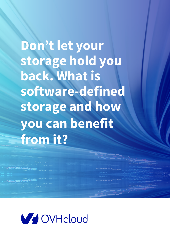**Don't let your storage hold you back. What is software-defined storage and how you can benefit from it?**

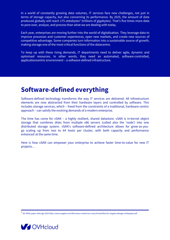In a world of constantly growing data volumes, IT services face new challenges, not just in terms of storage capacity, but also concerning its performance. By 2025, the amount of data produced globally will reach 175 zettabytes<sup>1</sup> (trillions of gigabytes). That's five times more data to pore over, analyse, and process than what we are dealing with today.

Each year, enterprises are moving further into the world of digitalisation. They leverage data to improve processes and customer experiences, open new markets, and create new sources of competitive advantage. Some companies turn information into a sustainable source of growth, making storage one of the most critical functions of the datacentre.

To keep up with these rising demands, IT departments need to deliver agile, dynamic and optimised resources. In other words, they need an automated, software-controlled, applicationcentric environment – a software-defined infrastructure.

## **Software-defined everything**

Software-defined technology transforms the way IT services are delivered. All infrastructure elements are now abstracted from their hardware layers and controlled by software. This includes storage services, which – freed from the constraints of a traditional, hardware-centric approach – can satisfy the evolving demands of a modern enterprise.

The time has come for vSAN – a highly resilient, shared datastore. vSAN is in-kernel object storage that combines disks from multiple x86 servers (called also the 'node') into one distributed storage system. vSAN's software-defined architecture allows for grow-as-yougo scaling up from two to 64 hosts per cluster, with both capacity and performance enhanced at the same time.

Here is how vSAN can empower your enterprise to achieve faster time-to-value for new IT projects…

<sup>1</sup> IDC White paper: Data Age 2025 https://www.seagate.com/files/www-content/our-story/trends/files/idc-seagate-dataage-whitepaper.pdf

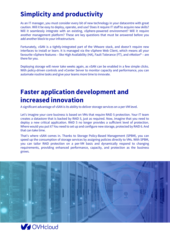# **Simplicity and productivity**

As an IT manager, you must consider every bit of new technology in your datacentre with great caution. Will it be easy to deploy, operate, and use? Does it require IT staff to acquire new skills? Will it seamlessly integrate with an existing, vSphere-powered environment? Will it require another management platform? These are key questions that must be answered before you add another block to your infrastructure.

Fortunately, vSAN is a tightly-integrated part of the VMware stack, and doesn't require new interfaces to install or learn. It is managed via the vSphere Web Client, which means all your favourite vSphere features – like High Availability (HA), Fault Tolerance (FT), and vMotion<sup>®</sup> – are there for you.

Deploying storage will never take weeks again, as vSAN can be enabled in a few simple clicks. With policy-driven controls and vCenter Server to monitor capacity and performance, you can automate routine tasks and give your teams more time to innovate.

## **Faster application development and increased innovation**

A significant advantage of vSAN is its ability to deliver storage services on a per-VM level.

Let's imagine your core business is based on VMs that require RAID 5 protection. Your IT team creates a datastore that is backed by RAID 5, just as required. Now, imagine that you need to deploy a new critical application. RAID 5 no longer provides a sufficient level of protection. Where would you put it? You need to set up and configure new storage, protected by RAID 6. And that can take time.

That's where vSAN comes in. Thanks to Storage Policy-Based Management (SPBM), you can speed up the consumption of storage services by assigning policies directly to VMs. With SPBM, you can tailor RAID protection on a per-VM basis and dynamically respond to changing requirements, providing enhanced performance, capacity, and protection as the business grows.



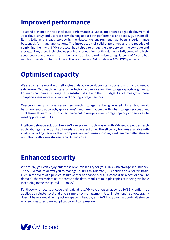### **Improved performance**

To stand a chance in the digital race, performance is just as important as agile deployment. If your cloud-savvy end-users are complaining about both performance and speed, give them allflash vSAN. In the past, storage in the datacentre environment had been a performance bottleneck for many applications. The introduction of solid state drives and the practice of combining them with NVMe protocol has helped to bridge the gap between the compute and storage. Now, these technologies provide a foundation for the all-flash vSAN, combining highspeed solidstate drives with an in-built cache on top, to minimise storage latency. vSAN also has much to offer also in terms of IOPS. The latest version 6.6 can deliver 100K IOPS per node.

## **Optimised capacity**

We are living in a world with zettabytes of data. We produce data, process it, and want to keep it safe forever. With each new level of protection and replication, the storage capacity is growing. For many companies, storage has a substantial share in the IT budget. As volumes grow, those companies seek more efficiency in allocating storage services.

Overprovisioning is one reason so much storage is being wasted. In a traditional, hardwarecentric approach, applications' needs aren't aligned with what storage services offer. That leaves IT teams with no other choice but to overprovision storage capacity and services, to meet applications' SLAs.

Intelligent storage solution like vSAN can prevent such waste. With VM-centric policies, each application gets exactly what it needs, at the exact time. The efficiency features available with vSAN – including deduplication, compression, and erasure coding – will enable better storage utilisation, with lower storage capacity and costs.

#### **Enhanced security**

With vSAN, you can enjoy enterprise-level availability for your VMs with storage redundancy. The SPBM feature allows you to manage Failures to Tolerate (FTT) policies on a per-VM basis. Even in the event of a physical failure (either of a capacity disk, a cache disk, a host or a failure domain), the VM maintains its access to the data, thanks to multiple copies of it being available (according to the configured FTT policy).

For those who need to encode their data at rest, VMware offers a native to vSAN Encryption. It's applied at a cluster level and offers simple key management. Also, implementing cryptography doesn't have a negative impact on space utilisation, as vSAN Encryption supports all storage efficiency features, like deduplication and compression.